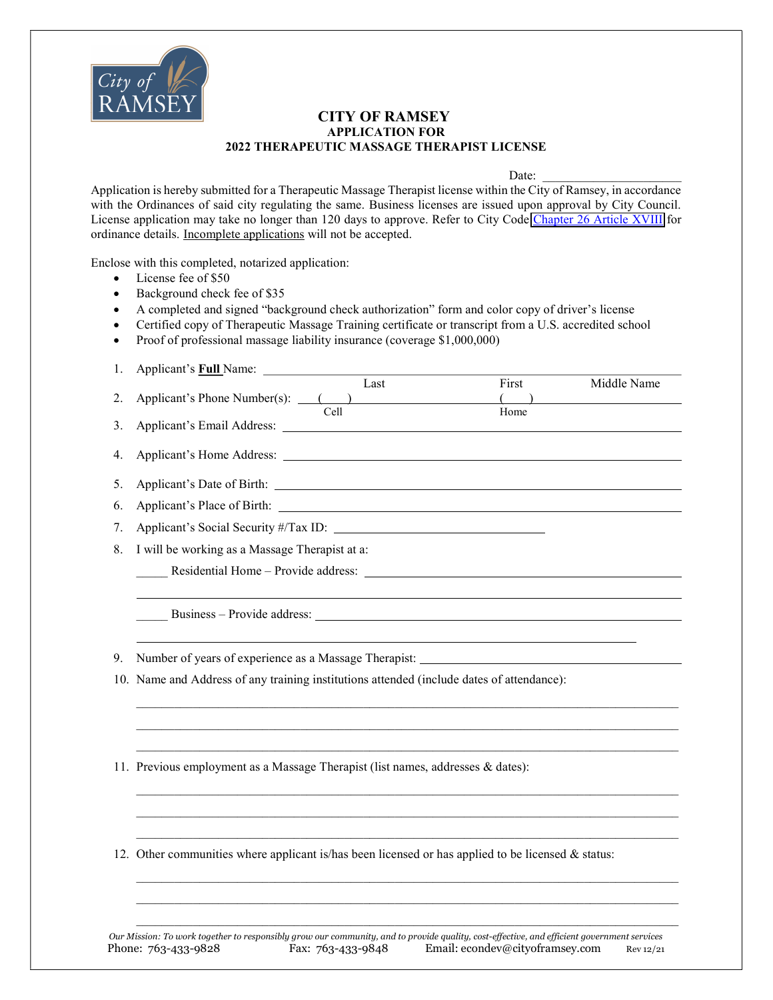

## CITY OF RAMSEY APPLICATION FOR 2022 THERAPEUTIC MASSAGE THERAPIST LICENSE

Date:

Application is hereby submitted for a Therapeutic Massage Therapist license within the City of Ramsey, in accordance with the Ordinances of said city regulating the same. Business licenses are issued upon approval by City Council. License application may take no longer than 120 days to approve. Refer to City Code [Chapter 26 Article XVIII](https://library.municode.com/mn/ramsey/codes/code_of_ordinances?nodeId=PTIICOOR_CH26LIPEMIBURE_ARTXVIIIMABUSE) for ordinance details. Incomplete applications will not be accepted.

Enclose with this completed, notarized application:

• License fee of \$50

- Background check fee of \$35
- A completed and signed "background check authorization" form and color copy of driver's license
- Certified copy of Therapeutic Massage Training certificate or transcript from a U.S. accredited school
- Proof of professional massage liability insurance (coverage \$1,000,000)
- 1. Applicant's **Full** Name:

|    | Last                                                              | First | Middle Name |
|----|-------------------------------------------------------------------|-------|-------------|
| 2. | Applicant's Phone Number(s): (2014)                               |       |             |
|    | Cell                                                              | Home  |             |
| 3. |                                                                   |       |             |
|    |                                                                   |       |             |
| 5. |                                                                   |       |             |
| 6. | Applicant's Place of Birth: 1999. [1] Applicant's Place of Birth: |       |             |
| 7. | Applicant's Social Security #/Tax ID:                             |       |             |
| 8. | I will be working as a Massage Therapist at a:                    |       |             |
|    |                                                                   |       |             |
|    |                                                                   |       |             |
|    | Business – Provide address:                                       |       |             |

 $\mathcal{L}_\text{max}$  $\mathcal{L}_\text{max}$  $\mathcal{L}_\mathcal{L} = \{ \mathcal{L}_\mathcal{L} = \{ \mathcal{L}_\mathcal{L} = \{ \mathcal{L}_\mathcal{L} = \{ \mathcal{L}_\mathcal{L} = \{ \mathcal{L}_\mathcal{L} = \{ \mathcal{L}_\mathcal{L} = \{ \mathcal{L}_\mathcal{L} = \{ \mathcal{L}_\mathcal{L} = \{ \mathcal{L}_\mathcal{L} = \{ \mathcal{L}_\mathcal{L} = \{ \mathcal{L}_\mathcal{L} = \{ \mathcal{L}_\mathcal{L} = \{ \mathcal{L}_\mathcal{L} = \{ \mathcal{L}_\mathcal{$ 

 $\mathcal{L}_\text{max}$  $\mathcal{L}_\text{max}$  $\mathcal{L}_\mathcal{L} = \{ \mathcal{L}_\mathcal{L} = \{ \mathcal{L}_\mathcal{L} = \{ \mathcal{L}_\mathcal{L} = \{ \mathcal{L}_\mathcal{L} = \{ \mathcal{L}_\mathcal{L} = \{ \mathcal{L}_\mathcal{L} = \{ \mathcal{L}_\mathcal{L} = \{ \mathcal{L}_\mathcal{L} = \{ \mathcal{L}_\mathcal{L} = \{ \mathcal{L}_\mathcal{L} = \{ \mathcal{L}_\mathcal{L} = \{ \mathcal{L}_\mathcal{L} = \{ \mathcal{L}_\mathcal{L} = \{ \mathcal{L}_\mathcal{$ 

 $\mathcal{L}_\text{max}$  $\mathcal{L}_\text{max}$  $\mathcal{L}_\mathcal{L} = \{ \mathcal{L}_\mathcal{L} = \{ \mathcal{L}_\mathcal{L} = \{ \mathcal{L}_\mathcal{L} = \{ \mathcal{L}_\mathcal{L} = \{ \mathcal{L}_\mathcal{L} = \{ \mathcal{L}_\mathcal{L} = \{ \mathcal{L}_\mathcal{L} = \{ \mathcal{L}_\mathcal{L} = \{ \mathcal{L}_\mathcal{L} = \{ \mathcal{L}_\mathcal{L} = \{ \mathcal{L}_\mathcal{L} = \{ \mathcal{L}_\mathcal{L} = \{ \mathcal{L}_\mathcal{L} = \{ \mathcal{L}_\mathcal{$ 

9. Number of years of experience as a Massage Therapist:

10. Name and Address of any training institutions attended (include dates of attendance):

11. Previous employment as a Massage Therapist (list names, addresses & dates):

12. Other communities where applicant is/has been licensed or has applied to be licensed & status:

Our Mission: To work together to responsibly grow our community, and to provide quality, cost-effective, and efficient government services Phone: 763-433-9828 Fax: 763-433-9848 Email: [econdev@cityoframsey.com](mailto:econdev@cityoframsey.com) Rev 12/21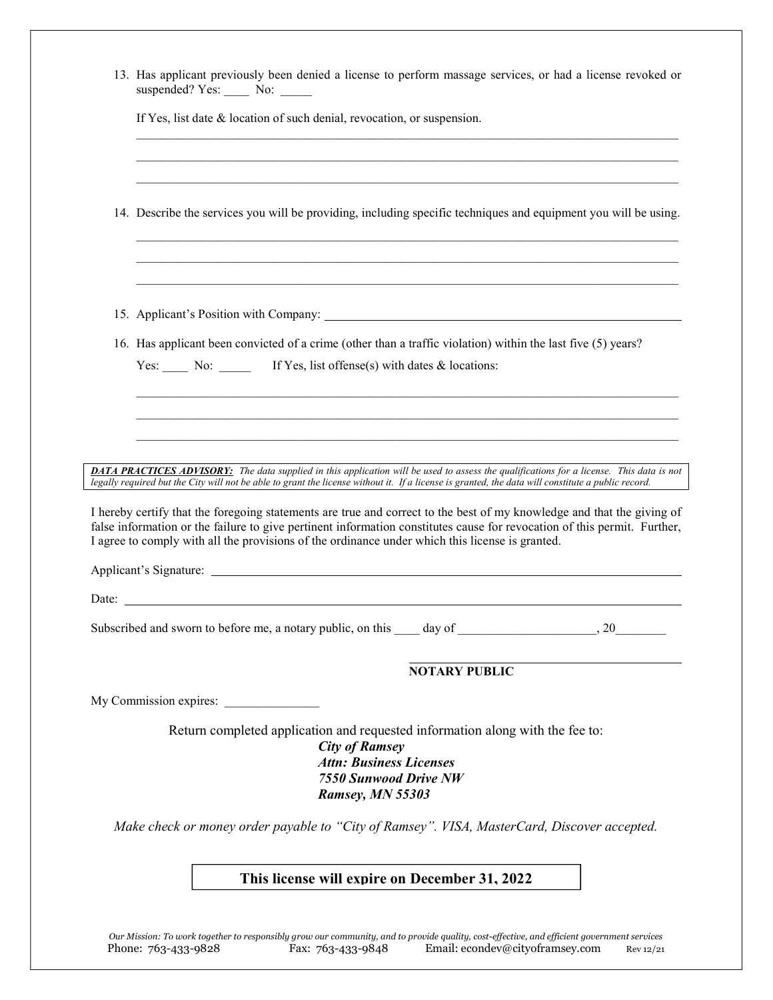| 13. Has applicant previously been denied a license to perform massage services, or had a license revoked or<br>suspended? Yes: No: _____                                                                                                                                                                                                              |  |  |  |  |  |
|-------------------------------------------------------------------------------------------------------------------------------------------------------------------------------------------------------------------------------------------------------------------------------------------------------------------------------------------------------|--|--|--|--|--|
| If Yes, list date & location of such denial, revocation, or suspension.                                                                                                                                                                                                                                                                               |  |  |  |  |  |
|                                                                                                                                                                                                                                                                                                                                                       |  |  |  |  |  |
| 14. Describe the services you will be providing, including specific techniques and equipment you will be using.                                                                                                                                                                                                                                       |  |  |  |  |  |
|                                                                                                                                                                                                                                                                                                                                                       |  |  |  |  |  |
|                                                                                                                                                                                                                                                                                                                                                       |  |  |  |  |  |
| 16. Has applicant been convicted of a crime (other than a traffic violation) within the last five (5) years?                                                                                                                                                                                                                                          |  |  |  |  |  |
| Yes: No: If Yes, list offense(s) with dates & locations:                                                                                                                                                                                                                                                                                              |  |  |  |  |  |
|                                                                                                                                                                                                                                                                                                                                                       |  |  |  |  |  |
|                                                                                                                                                                                                                                                                                                                                                       |  |  |  |  |  |
|                                                                                                                                                                                                                                                                                                                                                       |  |  |  |  |  |
|                                                                                                                                                                                                                                                                                                                                                       |  |  |  |  |  |
| <b>DATA PRACTICES ADVISORY:</b> The data supplied in this application will be used to assess the qualifications for a license. This data is not                                                                                                                                                                                                       |  |  |  |  |  |
| legally required but the City will not be able to grant the license without it. If a license is granted, the data will constitute a public record.                                                                                                                                                                                                    |  |  |  |  |  |
| I hereby certify that the foregoing statements are true and correct to the best of my knowledge and that the giving of<br>false information or the failure to give pertinent information constitutes cause for revocation of this permit. Further,<br>I agree to comply with all the provisions of the ordinance under which this license is granted. |  |  |  |  |  |
|                                                                                                                                                                                                                                                                                                                                                       |  |  |  |  |  |
|                                                                                                                                                                                                                                                                                                                                                       |  |  |  |  |  |
| Subscribed and sworn to before me, a notary public, on this day of<br>20                                                                                                                                                                                                                                                                              |  |  |  |  |  |
| <b>NOTARY PUBLIC</b>                                                                                                                                                                                                                                                                                                                                  |  |  |  |  |  |
| My Commission expires:                                                                                                                                                                                                                                                                                                                                |  |  |  |  |  |
| Return completed application and requested information along with the fee to:<br><b>City of Ramsey</b>                                                                                                                                                                                                                                                |  |  |  |  |  |
| <b>Attn: Business Licenses</b><br><b>7550 Sunwood Drive NW</b><br>Ramsey, MN 55303                                                                                                                                                                                                                                                                    |  |  |  |  |  |
| Make check or money order payable to "City of Ramsey". VISA, MasterCard, Discover accepted.                                                                                                                                                                                                                                                           |  |  |  |  |  |

Our Mission: To work together to responsibly grow our community, and to provide quality, cost-effective, and efficient government services Phone: 763-433-9828 Fax: 763-433-9848 Email: [econdev@cityoframsey.com](mailto:econdev@cityoframsey.com) Rev 12/21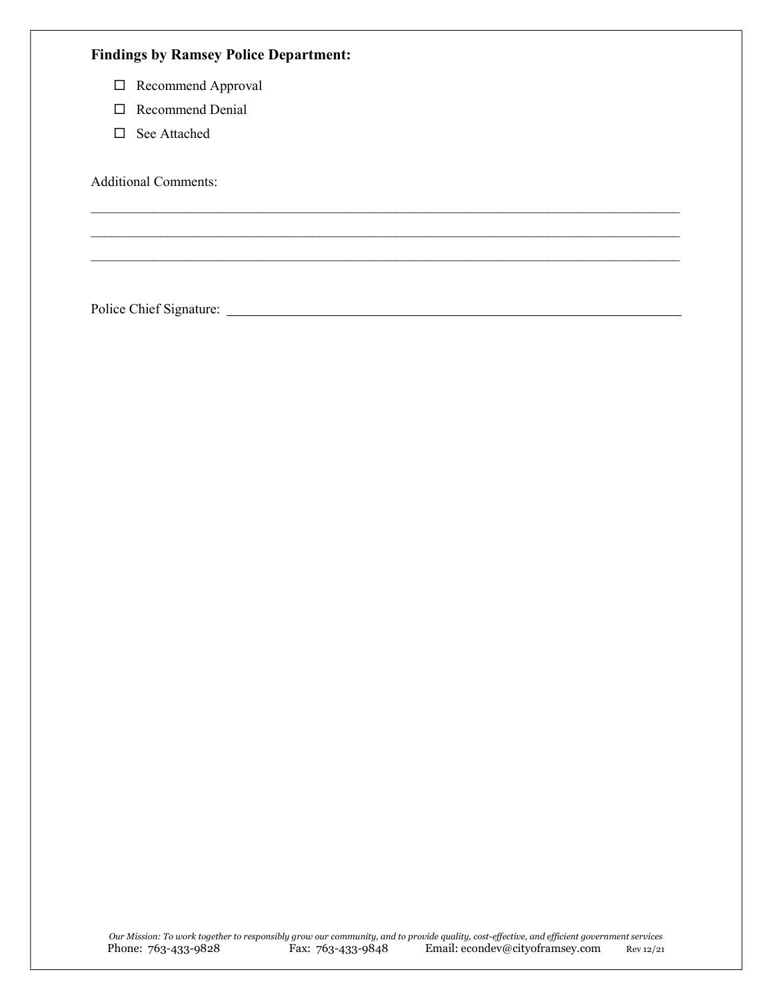| <b>Findings by Ramsey Police Department:</b> |  |  |  |  |  |
|----------------------------------------------|--|--|--|--|--|
| Recommend Approval<br>$\Box$                 |  |  |  |  |  |
| Recommend Denial<br>П                        |  |  |  |  |  |
| See Attached<br>П                            |  |  |  |  |  |
| <b>Additional Comments:</b>                  |  |  |  |  |  |
|                                              |  |  |  |  |  |
|                                              |  |  |  |  |  |
| Police Chief Signature:                      |  |  |  |  |  |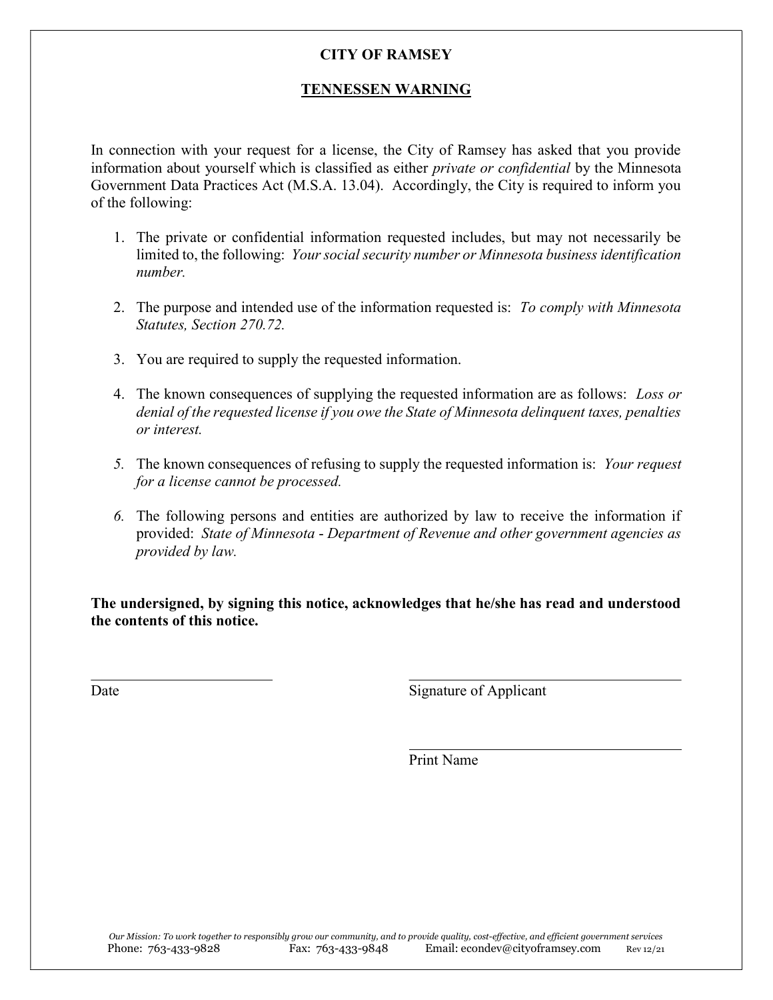## CITY OF RAMSEY

## TENNESSEN WARNING

In connection with your request for a license, the City of Ramsey has asked that you provide information about yourself which is classified as either private or confidential by the Minnesota Government Data Practices Act (M.S.A. 13.04). Accordingly, the City is required to inform you of the following:

- 1. The private or confidential information requested includes, but may not necessarily be limited to, the following: Your social security number or Minnesota business identification number.
- 2. The purpose and intended use of the information requested is: To comply with Minnesota Statutes, Section 270.72.
- 3. You are required to supply the requested information.
- 4. The known consequences of supplying the requested information are as follows: Loss or denial of the requested license if you owe the State of Minnesota delinquent taxes, penalties or interest.
- 5. The known consequences of refusing to supply the requested information is: Your request for a license cannot be processed.
- 6. The following persons and entities are authorized by law to receive the information if provided: State of Minnesota - Department of Revenue and other government agencies as provided by law.

The undersigned, by signing this notice, acknowledges that he/she has read and understood the contents of this notice.

 $\overline{a}$ 

Date Signature of Applicant

Print Name